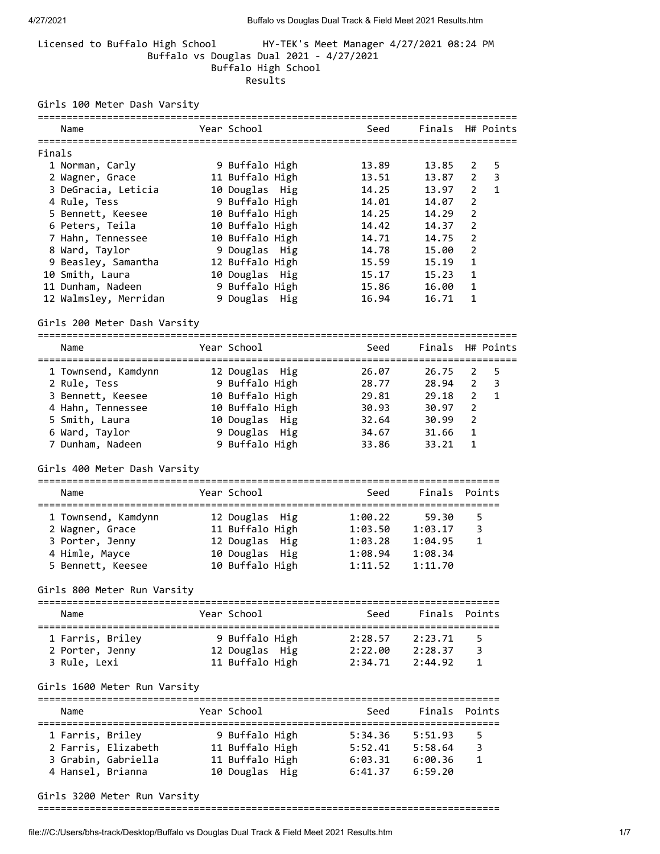## Licensed to Buffalo High School HY-TEK's Meet Manager 4/27/2021 08:24 PM Buffalo vs Douglas Dual 2021 - 4/27/2021 Buffalo High School Results

Girls 100 Meter Dash Varsity

|        | Name                               | Year School                        |         | Seed Finals H# Points |                         |                |
|--------|------------------------------------|------------------------------------|---------|-----------------------|-------------------------|----------------|
|        |                                    |                                    |         |                       |                         |                |
| Finals |                                    |                                    |         |                       |                         |                |
|        | 1 Norman, Carly                    | 9 Buffalo High                     | 13.89   | 13.85                 | 2                       | 5              |
|        | 2 Wagner, Grace                    | 11 Buffalo High                    | 13.51   | 13.87                 | $\overline{2}$          | $\overline{3}$ |
|        | 3 DeGracia, Leticia                | 10 Douglas Hig                     | 14.25   | 13.97                 | 2                       | $\mathbf{1}$   |
|        | 4 Rule, Tess                       | 9 Buffalo High                     | 14.01   | 14.07                 | $\overline{2}$          |                |
|        | 5 Bennett, Keesee                  | 10 Buffalo High                    | 14.25   | 14.29                 | 2                       |                |
|        | 6 Peters, Teila                    | 10 Buffalo High                    | 14.42   | 14.37                 | $\overline{2}$          |                |
|        | 7 Hahn, Tennessee                  | 10 Buffalo High                    | 14.71   | 14.75                 | $\overline{2}$          |                |
|        | 8 Ward, Taylor                     | 9 Douglas Hig                      | 14.78   | 15.00                 | $\overline{2}$          |                |
|        | 9 Beasley, Samantha                | 12 Buffalo High                    | 15.59   | 15.19                 | $\mathbf{1}$            |                |
|        | 10 Smith, Laura                    | 10 Douglas Hig                     | 15.17   | 15.23                 | 1                       |                |
|        | 11 Dunham, Nadeen                  | 9 Buffalo High                     | 15.86   | 16.00                 | 1                       |                |
|        | 12 Walmsley, Merridan              | 9 Douglas Hig                      | 16.94   | 16.71                 | 1                       |                |
|        | Girls 200 Meter Dash Varsity       |                                    |         |                       |                         |                |
|        | Name                               | Year School                        |         | Seed Finals H# Points |                         |                |
|        |                                    |                                    |         |                       |                         |                |
|        | 1 Townsend, Kamdynn 12 Douglas Hig |                                    | 26.07   | 26.75 2               |                         | 5              |
|        | 2 Rule, Tess                       | 9 Buffalo High                     | 28.77   | 28.94 2               |                         | 3              |
|        | 3 Bennett, Keesee                  | 10 Buffalo High                    | 29.81   | 29.18                 | $\overline{2}$          | $\mathbf{1}$   |
|        | 4 Hahn, Tennessee                  | 10 Buffalo High                    | 30.93   | 30.97                 | 2                       |                |
|        | 5 Smith, Laura                     | 10 Douglas Hig                     | 32.64   | 30.99                 | $\overline{2}$          |                |
|        | 6 Ward, Taylor                     | 9 Douglas Hig                      | 34.67   | 31.66                 | $\mathbf{1}$            |                |
|        | 7 Dunham, Nadeen                   | 9 Buffalo High                     | 33.86   | 33.21                 | $\mathbf{1}$            |                |
|        | Girls 400 Meter Dash Varsity       |                                    |         |                       |                         |                |
|        |                                    |                                    |         |                       |                         |                |
|        | Name                               | Year School                        | Seed    | Finals Points         |                         |                |
|        |                                    |                                    |         |                       |                         |                |
|        | 1 Townsend, Kamdynn                | 12 Douglas Hig                     | 1:00.22 | 59.30                 | -5                      |                |
|        | 2 Wagner, Grace                    | 11 Buffalo High                    | 1:03.50 | 1:03.17               | $\overline{\mathbf{3}}$ |                |
|        | 3 Porter, Jenny                    | 12 Douglas  Hig<br>10 Douglas  Hig | 1:03.28 | 1:04.95               | 1                       |                |
|        | 4 Himle, Mayce                     |                                    | 1:08.94 | 1:08.34               |                         |                |
|        | 5 Bennett, Keesee                  | 10 Buffalo High                    | 1:11.52 | 1:11.70               |                         |                |
|        | Girls 800 Meter Run Varsity        |                                    |         |                       |                         |                |
|        | Name                               | Year School                        |         | Seed Finals Points    |                         |                |
|        | 1 Farris, Briley                   | 9 Buffalo High                     |         | 2:28.57 2:23.71       | 5                       |                |
|        | 2 Porter, Jenny                    | 12 Douglas Hig                     |         | 2:22.00 2:28.37       | - 3                     |                |
|        | 3 Rule, Lexi                       | 11 Buffalo High                    | 2:34.71 | 2:44.92               | 1                       |                |
|        |                                    |                                    |         |                       |                         |                |
|        | Girls 1600 Meter Run Varsity       |                                    |         |                       |                         |                |
|        | Name                               | Year School                        | Seed    | Finals Points         |                         |                |
|        | 1 Farris, Briley                   | 9 Buffalo High                     | 5:34.36 | 5:51.93               | -5                      |                |
|        | 2 Farris, Elizabeth                | 11 Buffalo High                    | 5:52.41 | 5:58.64               | 3                       |                |
|        | 3 Grabin, Gabriella                | 11 Buffalo High                    |         | $6:03.31$ $6:00.36$   | 1                       |                |
|        | 4 Hansel, Brianna                  | 10 Douglas Hig                     |         | 6:41.37 6:59.20       |                         |                |
|        |                                    |                                    |         |                       |                         |                |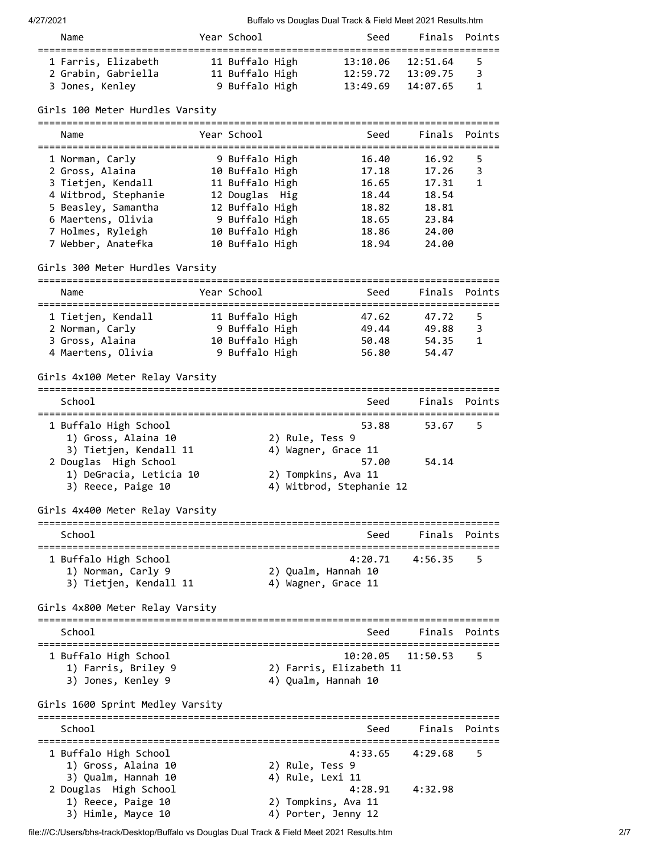4/27/2021 Buffalo vs Douglas Dual Track & Field Meet 2021 Results.htm

| Name                                                          | Year School                                          | Seed                             |                                  | Finals Points |
|---------------------------------------------------------------|------------------------------------------------------|----------------------------------|----------------------------------|---------------|
| 1 Farris, Elizabeth<br>2 Grabin, Gabriella<br>3 Jones, Kenley | 11 Buffalo High<br>11 Buffalo High<br>9 Buffalo High | 13:10.06<br>12:59.72<br>13:49.69 | 12:51.64<br>13:09.75<br>14:07.65 | 5.<br>3<br>1  |
| $G\in 100$ Moton Hundles Vansity                              |                                                      |                                  |                                  |               |

Girls 100 Meter Hurdles Varsity

| Name                                                                                                                          | Year School                                                                                                 | Seed                                               | Finals Points                                      |             |
|-------------------------------------------------------------------------------------------------------------------------------|-------------------------------------------------------------------------------------------------------------|----------------------------------------------------|----------------------------------------------------|-------------|
| 1 Norman, Carly<br>2 Gross, Alaina<br>3 Tietjen, Kendall<br>4 Witbrod, Stephanie<br>5 Beasley, Samantha<br>6 Maertens, Olivia | 9 Buffalo High<br>10 Buffalo High<br>11 Buffalo High<br>12 Douglas Hig<br>12 Buffalo High<br>9 Buffalo High | 16.40<br>17.18<br>16.65<br>18.44<br>18.82<br>18.65 | 16.92<br>17.26<br>17.31<br>18.54<br>18.81<br>23.84 | 5<br>3<br>1 |
| 7 Holmes, Ryleigh<br>7 Webber, Anatefka<br>Girls 300 Meter Hurdles Varsity                                                    | 10 Buffalo High<br>10 Buffalo High                                                                          | 18.86<br>18.94                                     | 24.00<br>24.00                                     |             |

| Name               | Year School     | Seed  | Finals Points |    |
|--------------------|-----------------|-------|---------------|----|
| 1 Tietjen, Kendall | 11 Buffalo High | 47.62 | 47.72         | 5. |
| 2 Norman, Carly    | 9 Buffalo High  | 49.44 | 49.88         | 3  |
| 3 Gross, Alaina    | 10 Buffalo High | 50.48 | 54.35         | 1  |
| 4 Maertens, Olivia | 9 Buffalo High  | 56.80 | 54.47         |    |

Girls 4x100 Meter Relay Varsity

================================================================================ School School School School Seed Finals Points ================================================================================ 1 Buffalo High School 53.88 53.67 5 1) Gross, Alaina 10 2) Rule, Tess 9 3) Tietjen, Kendall 11  $\hskip10mm$  4) Wagner, Grace 11 2 Douglas High School 57.00 54.14 1) DeGracia, Leticia 10 2) Tompkins, Ava 11 3) Reece, Paige 10 4) Witbrod, Stephanie 12 Girls 4x400 Meter Relay Varsity

| School                 | Seed                | Finals Points       |      |
|------------------------|---------------------|---------------------|------|
|                        |                     |                     |      |
| 1 Buffalo High School  |                     | $4:20.71$ $4:56.35$ | $-5$ |
| 1) Norman, Carly 9     | 2) Qualm, Hannah 10 |                     |      |
| 3) Tietjen, Kendall 11 | 4) Wagner, Grace 11 |                     |      |

Girls 4x800 Meter Relay Varsity

| School                                                             | Finals Points<br>Seed                                                          |
|--------------------------------------------------------------------|--------------------------------------------------------------------------------|
| 1 Buffalo High School<br>1) Farris, Briley 9<br>3) Jones, Kenley 9 | $10:20.05$ $11:50.53$<br>- 5<br>2) Farris, Elizabeth 11<br>4) Qualm, Hannah 10 |

Girls 1600 Sprint Medley Varsity

| School                |                     | Seed                | Finals Points |      |
|-----------------------|---------------------|---------------------|---------------|------|
|                       |                     |                     |               |      |
| 1 Buffalo High School |                     | $4:33.65$ $4:29.68$ |               | $-5$ |
| 1) Gross, Alaina 10   | 2) Rule, Tess 9     |                     |               |      |
| 3) Qualm, Hannah 10   | 4) Rule, Lexi 11    |                     |               |      |
| 2 Douglas High School |                     | 4:28.91             | 4:32.98       |      |
| 1) Reece, Paige 10    | 2) Tompkins, Ava 11 |                     |               |      |
| 3) Himle, Mayce 10    | 4) Porter, Jenny 12 |                     |               |      |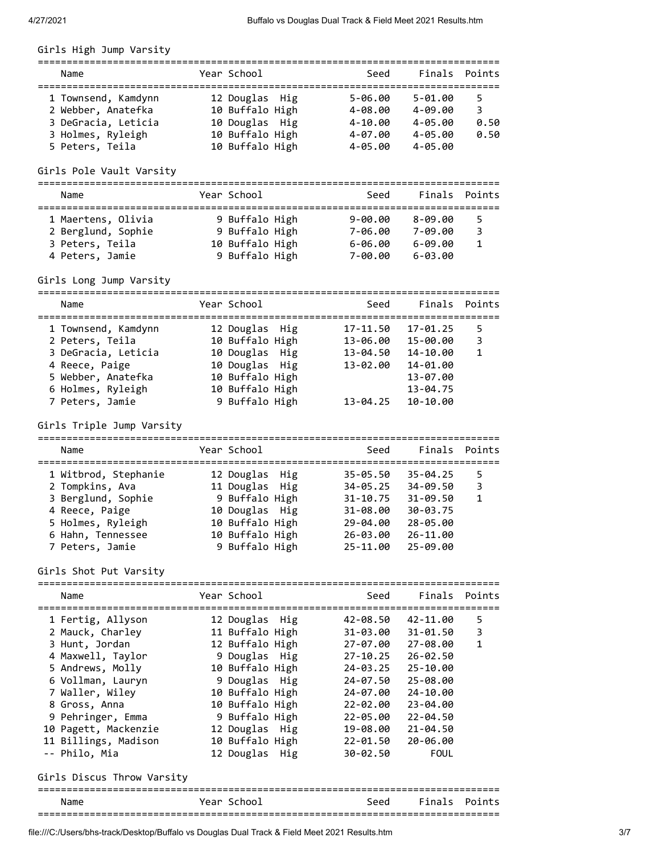# Girls High Jump Varsity

| Name                | Year School     | Seed        |             | Finals Points |
|---------------------|-----------------|-------------|-------------|---------------|
| 1 Townsend, Kamdynn | 12 Douglas Hig  | $5 - 06.00$ | $5 - 01.00$ | 5.            |
| 2 Webber, Anatefka  | 10 Buffalo High | $4 - 08.00$ | $4 - 09.00$ | 3             |
| 3 DeGracia, Leticia | 10 Douglas Hig  | $4 - 10.00$ | $4 - 05.00$ | 0.50          |
| 3 Holmes, Ryleigh   | 10 Buffalo High | $4 - 07.00$ | $4 - 05.00$ | 0.50          |
| 5 Peters, Teila     | 10 Buffalo High | $4 - 05.00$ | $4 - 05.00$ |               |

# Girls Pole Vault Varsity

| Name                                                                           | Year School                                                           | Seed                                             | Finals Points                                                      |
|--------------------------------------------------------------------------------|-----------------------------------------------------------------------|--------------------------------------------------|--------------------------------------------------------------------|
| 1 Maertens, Olivia<br>2 Berglund, Sophie<br>3 Peters, Teila<br>4 Peters, Jamie | 9 Buffalo High<br>9 Buffalo High<br>10 Buffalo High<br>9 Buffalo High | $9 - 00.00$<br>7-06.00<br>$6 - 06.00$<br>7-00.00 | $8 - 09.00$<br>5<br>$7 - 09.00$<br>3<br>$6 - 09.00$<br>$6 - 03.00$ |

# Girls Long Jump Varsity

| Name                | Year School     | Seed         | Finals Points |   |
|---------------------|-----------------|--------------|---------------|---|
| 1 Townsend, Kamdynn | 12 Douglas Hig  | 17-11.50     | 17-01.25      | 5 |
| 2 Peters, Teila     | 10 Buffalo High | 13-06.00     | 15-00.00      | 3 |
| 3 DeGracia, Leticia | 10 Douglas Hig  | $13 - 04.50$ | 14-10.00      | 1 |
| 4 Reece, Paige      | 10 Douglas Hig  | 13-02.00     | 14-01.00      |   |
| 5 Webber, Anatefka  | 10 Buffalo High |              | 13-07.00      |   |
| 6 Holmes, Ryleigh   | 10 Buffalo High |              | $13 - 04.75$  |   |
| 7 Peters, Jamie     | 9 Buffalo High  | $13 - 04.25$ | 10-10.00      |   |
|                     |                 |              |               |   |

### Girls Triple Jump Varsity

| Year School<br>Finals Points<br>Seed<br>Name<br>1 Witbrod, Stephanie<br>12 Douglas Hig<br>$35 - 05.50$<br>$35 - 04.25$ |   |
|------------------------------------------------------------------------------------------------------------------------|---|
|                                                                                                                        |   |
|                                                                                                                        | 5 |
| 2 Tompkins, Ava<br>11 Douglas Hig<br>$34 - 05.25$<br>34-09.50                                                          | 3 |
| 9 Buffalo High<br>3 Berglund, Sophie<br>$31 - 10.75$<br>$31 - 09.50$                                                   | 1 |
| 4 Reece, Paige<br>10 Douglas Hig<br>30-03.75<br>$31 - 08.00$                                                           |   |
| 10 Buffalo High<br>5 Holmes, Ryleigh<br>29-04.00<br>28-05.00                                                           |   |
| 10 Buffalo High<br>6 Hahn, Tennessee<br>26-03.00<br>26-11.00                                                           |   |
| 9 Buffalo High<br>25-11.00<br>7 Peters, Jamie<br>25-09.00                                                              |   |

# Girls Shot Put Varsity

| Name                       | Year School     | Seed     | Finals Points     |              |
|----------------------------|-----------------|----------|-------------------|--------------|
| 1 Fertig, Allyson          | 12 Douglas Hig  |          | 42-08.50 42-11.00 | 5            |
| 2 Mauck, Charley           | 11 Buffalo High | 31-03.00 | 31-01.50          | 3            |
| 3 Hunt, Jordan             | 12 Buffalo High | 27-07.00 | 27-08.00          | $\mathbf{1}$ |
| 4 Maxwell, Taylor          | 9 Douglas Hig   | 27-10.25 | $26 - 02.50$      |              |
| 5 Andrews, Molly           | 10 Buffalo High | 24-03.25 | 25-10.00          |              |
| 6 Vollman, Lauryn          | 9 Douglas Hig   | 24-07.50 | 25-08.00          |              |
| 7 Waller, Wiley            | 10 Buffalo High | 24-07.00 | 24-10.00          |              |
| 8 Gross, Anna              | 10 Buffalo High | 22-02.00 | 23-04.00          |              |
| 9 Pehringer, Emma          | 9 Buffalo High  | 22-05.00 | $22 - 04.50$      |              |
| 10 Pagett, Mackenzie       | 12 Douglas Hig  | 19-08.00 | $21 - 04.50$      |              |
| 11 Billings, Madison       | 10 Buffalo High | 22-01.50 | 20-06.00          |              |
| -- Philo, Mia              | 12 Douglas Hig  | 30-02.50 | <b>FOUL</b>       |              |
| Girls Discus Throw Varsity |                 |          |                   |              |
| Name                       | Year School     | Seed     | Finals Points     |              |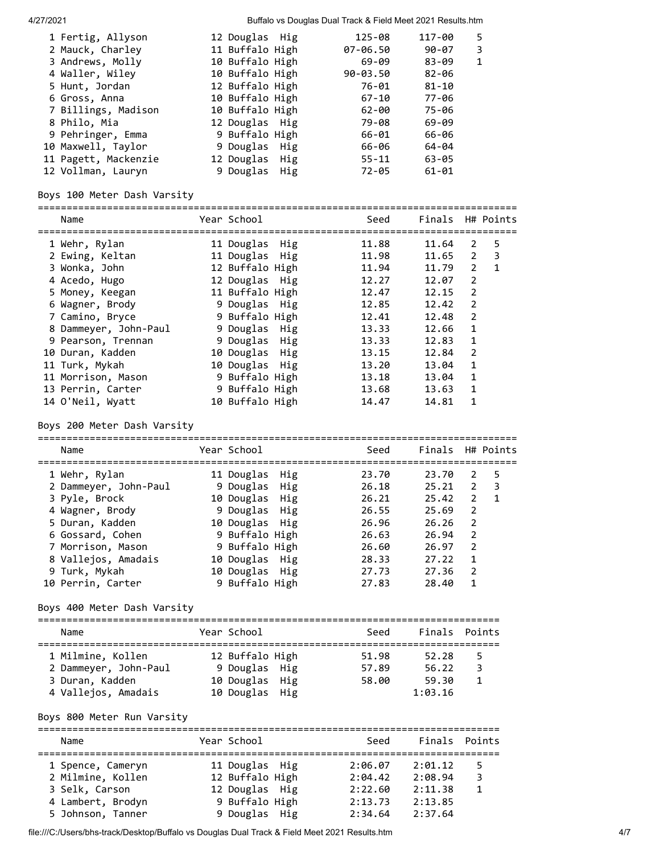4/27/2021 Buffalo vs Douglas Dual Track & Field Meet 2021 Results.htm

| 1 Fertig, Allyson    | 12 Douglas Hig  | 125-08       | 117-00    | 5 |
|----------------------|-----------------|--------------|-----------|---|
|                      |                 |              | 90-07     | 3 |
| 2 Mauck, Charley     | 11 Buffalo High | 07-06.50     |           |   |
| 3 Andrews, Molly     | 10 Buffalo High | 69-09        | $83 - 09$ | 1 |
| 4 Waller, Wiley      | 10 Buffalo High | $90 - 03.50$ | $82 - 06$ |   |
| 5 Hunt, Jordan       | 12 Buffalo High | 76-01        | $81 - 10$ |   |
| 6 Gross, Anna        | 10 Buffalo High | 67-10        | 77-06     |   |
| 7 Billings, Madison  | 10 Buffalo High | 62-00        | 75-06     |   |
| 8 Philo, Mia         | 12 Douglas Hig  | 79-08        | 69-09     |   |
| 9 Pehringer, Emma    | 9 Buffalo High  | 66-01        | 66-06     |   |
| 10 Maxwell, Taylor   | 9 Douglas Hig   | 66-06        | 64-04     |   |
| 11 Pagett, Mackenzie | 12 Douglas Hig  | $55 - 11$    | $63 - 05$ |   |
| 12 Vollman, Lauryn   | 9 Douglas Hig   | 72-05        | $61 - 01$ |   |

# Boys 100 Meter Dash Varsity

| Name                  | Year School     | ------------ | Seed  | Finals H# Points |                |              |
|-----------------------|-----------------|--------------|-------|------------------|----------------|--------------|
| 1 Wehr, Rylan         | 11 Douglas Hig  |              | 11.88 | 11.64            | 2              | 5            |
| 2 Ewing, Keltan       | 11 Douglas Hig  |              | 11.98 | 11.65 2          |                | 3            |
| 3 Wonka, John         | 12 Buffalo High |              | 11.94 | 11.79            | $\overline{2}$ | $\mathbf{1}$ |
| 4 Acedo, Hugo         | 12 Douglas Hig  |              | 12.27 | 12.07            | 2              |              |
| 5 Money, Keegan       | 11 Buffalo High |              | 12.47 | 12.15            | 2              |              |
| 6 Wagner, Brody       | 9 Douglas Hig   |              | 12.85 | 12.42            | 2              |              |
| 7 Camino, Bryce       | 9 Buffalo High  |              | 12.41 | 12.48            | 2              |              |
| 8 Dammeyer, John-Paul | 9 Douglas Hig   |              | 13.33 | 12.66            | 1              |              |
| 9 Pearson, Trennan    | 9 Douglas Hig   |              | 13.33 | 12.83            | 1              |              |
| 10 Duran, Kadden      | 10 Douglas Hig  |              | 13.15 | 12.84            | 2              |              |
| 11 Turk, Mykah        | 10 Douglas Hig  |              | 13.20 | 13.04            | $\mathbf{1}$   |              |
| 11 Morrison, Mason    | 9 Buffalo High  |              | 13.18 | 13.04            | 1              |              |
| 13 Perrin, Carter     | 9 Buffalo High  |              | 13.68 | 13.63            | $\mathbf{1}$   |              |
| 14 O'Neil, Wyatt      | 10 Buffalo High |              | 14.47 | 14.81            | 1              |              |

### Boys 200 Meter Dash Varsity

| Name                  | Year School    | Seed  | Finals H# Points |                |                          |
|-----------------------|----------------|-------|------------------|----------------|--------------------------|
| 1 Wehr, Rylan         | 11 Douglas Hig | 23.70 | 23.70            | 2              | -5                       |
| 2 Dammeyer, John-Paul | 9 Douglas Hig  | 26.18 | 25.21            | $\overline{2}$ | $\overline{\phantom{a}}$ |
| 3 Pyle, Brock         | 10 Douglas Hig | 26.21 | 25.42            | $\overline{2}$ | $\blacksquare$           |
| 4 Wagner, Brody       | 9 Douglas Hig  | 26.55 | 25.69            | 2              |                          |
| 5 Duran, Kadden       | 10 Douglas Hig | 26.96 | 26.26            | 2              |                          |
| 6 Gossard, Cohen      | 9 Buffalo High | 26.63 | 26.94            | 2              |                          |
| 7 Morrison, Mason     | 9 Buffalo High | 26.60 | 26.97            | 2              |                          |
| 8 Vallejos, Amadais   | 10 Douglas Hig | 28.33 | 27.22            | $\mathbf{1}$   |                          |
| 9 Turk, Mykah         | 10 Douglas Hig | 27.73 | 27.36            | $\overline{2}$ |                          |
| 10 Perrin, Carter     | 9 Buffalo High | 27.83 | 28.40            | $\mathbf{1}$   |                          |

# Boys 400 Meter Dash Varsity

| Name                  | Year School     | Seed  | Finals Points |    |
|-----------------------|-----------------|-------|---------------|----|
| 1 Milmine, Kollen     | 12 Buffalo High | 51.98 | 52.28         | 5. |
| 2 Dammeyer, John-Paul | 9 Douglas Hig   | 57.89 | 56.22         | 3  |
| 3 Duran, Kadden       | 10 Douglas Hig  | 58.00 | 59.30         |    |
| 4 Vallejos, Amadais   | 10 Douglas Hig  |       | 1:03.16       |    |

## Boys 800 Meter Run Varsity

| Name              | Year School     | Seed    | Finals Points |   |
|-------------------|-----------------|---------|---------------|---|
| 1 Spence, Cameryn | 11 Douglas Hig  | 2:06.07 | 2:01.12       |   |
| 2 Milmine, Kollen | 12 Buffalo High | 2:04.42 | 2:08.94       | 3 |
| 3 Selk, Carson    | 12 Douglas Hig  | 2:22.60 | 2:11.38       |   |
| 4 Lambert, Brodyn | 9 Buffalo High  | 2:13.73 | 2:13.85       |   |
| 5 Johnson, Tanner | 9 Douglas Hig   | 2:34.64 | 2:37.64       |   |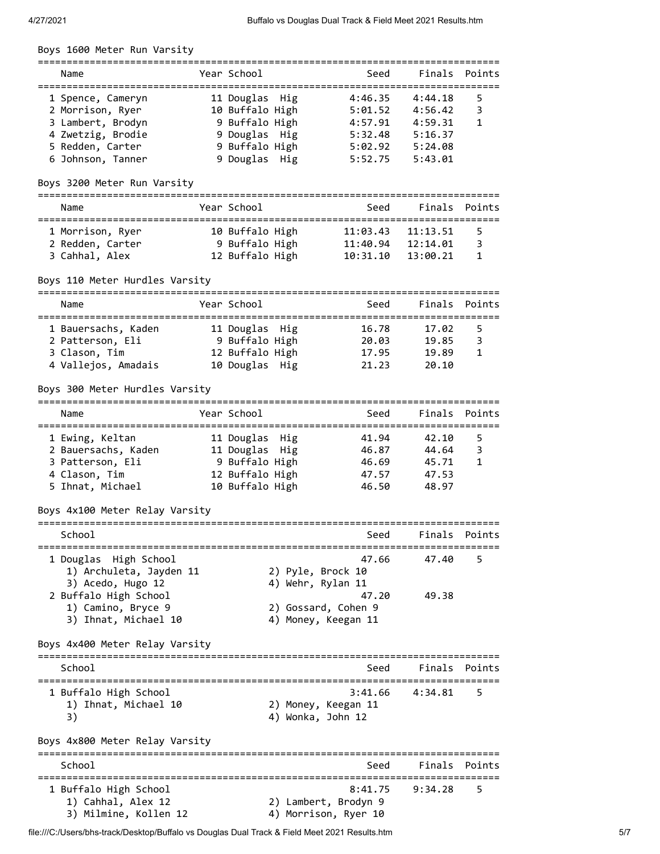Boys 1600 Meter Run Varsity

| Name                                                                                                                     | Year School                                                                                             | Seed                                                           | Finals Points                                                  |        |
|--------------------------------------------------------------------------------------------------------------------------|---------------------------------------------------------------------------------------------------------|----------------------------------------------------------------|----------------------------------------------------------------|--------|
| 1 Spence, Cameryn<br>2 Morrison, Ryer<br>3 Lambert, Brodyn<br>4 Zwetzig, Brodie<br>5 Redden, Carter<br>6 Johnson, Tanner | 11 Douglas Hig<br>10 Buffalo High<br>9 Buffalo High<br>9 Douglas Hig<br>9 Buffalo High<br>9 Douglas Hig | 4:46.35<br>5:01.52<br>4:57.91<br>5:32.48<br>5:02.92<br>5:52.75 | 4:44.18<br>4:56.42<br>4:59.31<br>5:16.37<br>5:24.08<br>5:43.01 | 5<br>3 |
|                                                                                                                          |                                                                                                         |                                                                |                                                                |        |

#### Boys 3200 Meter Run Varsity

| Name                                                   | Year School                                          | Seed                             |                                  | Finals Points |
|--------------------------------------------------------|------------------------------------------------------|----------------------------------|----------------------------------|---------------|
| 1 Morrison, Ryer<br>2 Redden, Carter<br>3 Cahhal, Alex | 10 Buffalo High<br>9 Buffalo High<br>12 Buffalo High | 11:03.43<br>11:40.94<br>10:31.10 | 11:13.51<br>12:14.01<br>13:00.21 | 5.<br>3       |

#### Boys 110 Meter Hurdles Varsity

| Name                |  | Year School     |  | Seed  | Finals Points |   |  |  |
|---------------------|--|-----------------|--|-------|---------------|---|--|--|
|                     |  |                 |  |       |               |   |  |  |
| 1 Bauersachs, Kaden |  | 11 Douglas Hig  |  | 16.78 | 17.02         |   |  |  |
| 2 Patterson, Eli    |  | 9 Buffalo High  |  | 20.03 | 19.85         | ₹ |  |  |
| 3 Clason, Tim       |  | 12 Buffalo High |  | 17.95 | 19.89         |   |  |  |
| 4 Vallejos, Amadais |  | 10 Douglas Hig  |  | 21.23 | 20.10         |   |  |  |

#### Boys 300 Meter Hurdles Varsity

| Name                                                                                            | Year School                                                                              | Seed                                      | Finals Points                             |        |  |  |  |  |
|-------------------------------------------------------------------------------------------------|------------------------------------------------------------------------------------------|-------------------------------------------|-------------------------------------------|--------|--|--|--|--|
| 1 Ewing, Keltan<br>2 Bauersachs, Kaden<br>3 Patterson, Eli<br>4 Clason, Tim<br>5 Ihnat, Michael | 11 Douglas Hig<br>11 Douglas Hig<br>9 Buffalo High<br>12 Buffalo High<br>10 Buffalo High | 41.94<br>46.87<br>46.69<br>47.57<br>46.50 | 42.10<br>44.64<br>45.71<br>47.53<br>48.97 | 5<br>3 |  |  |  |  |

Boys 4x100 Meter Relay Varsity ================================================================================ School School School Seed Finals Points ================================================================================ 1 Douglas High School 47.66 47.40 5 1) Archuleta, Jayden 11 2) Pyle, Brock 10 3) Acedo, Hugo 12 4) Wehr, Rylan 11 2 Buffalo High School 47.20 49.38 1) Camino, Bryce 9 2) Gossard, Cohen 9 3) Ihnat, Michael 10 4) Money, Keegan 11

Boys 4x400 Meter Relay Varsity ================================================================================ School School School Seed Finals Points ================================================================================ 1 Buffalo High School 3:41.66 4:34.81 5 1) Ihnat, Michael 10 2) Money, Keegan 11 3) 4) Wonka, John 12 Boys 4x800 Meter Relay Varsity ================================================================================ School School School Seed Finals Points ================================================================================ 1 Buffalo High School 8:41.75 9:34.28 5

1) Cahhal, Alex 12 2) Lambert, Brodyn 9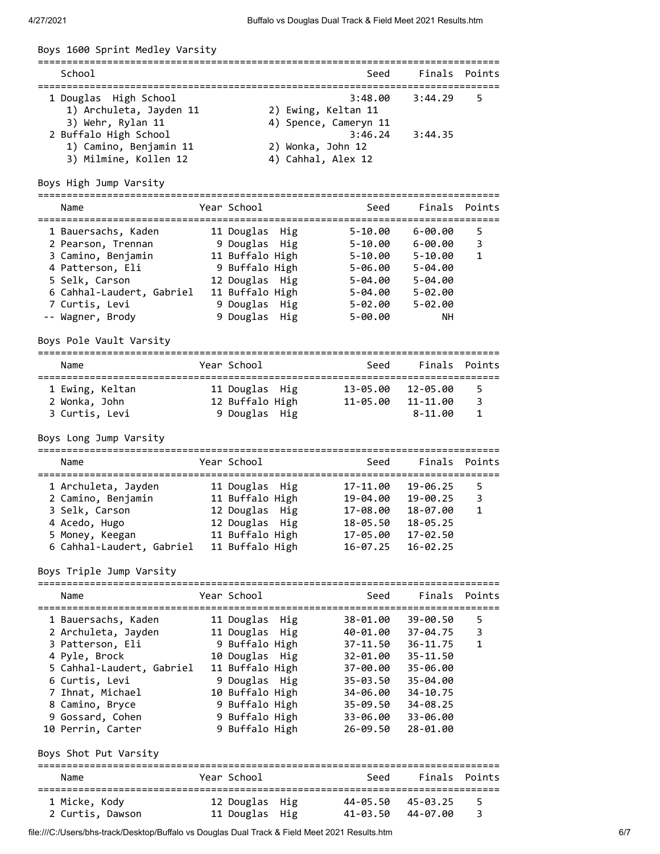| Boys 1600 Sprint Medley Varsity                                          |                                  |                                                         |                   |               |
|--------------------------------------------------------------------------|----------------------------------|---------------------------------------------------------|-------------------|---------------|
| School                                                                   |                                  | Seed                                                    |                   | Finals Points |
| 1 Douglas High School<br>1) Archuleta, Jayden 11<br>3) Wehr, Rylan 11    |                                  | 3:48.00<br>2) Ewing, Keltan 11<br>4) Spence, Cameryn 11 | 3:44.29           | 5             |
| 2 Buffalo High School<br>1) Camino, Benjamin 11<br>3) Milmine, Kollen 12 |                                  | 3:46.24<br>2) Wonka, John 12<br>4) Cahhal, Alex 12      | 3:44.35           |               |
| Boys High Jump Varsity                                                   |                                  |                                                         |                   |               |
| Name                                                                     | Year School                      | Seed                                                    | Finals            | Points        |
| 1 Bauersachs, Kaden                                                      | 11 Douglas Hig                   | $5 - 10.00$                                             | $6 - 00.00$       | 5             |
| 2 Pearson, Trennan             9 Douglas Hig                             |                                  | 5-10.00                                                 | $6 - 00.00$       | 3             |
| 3 Camino, Benjamin                                                       | 11 Buffalo High                  | $5 - 10.00$                                             | $5 - 10.00$       | 1             |
| 4 Patterson, Eli                                                         | 9 Buffalo High                   | $5 - 06.00$                                             | 5-04.00           |               |
| 5 Selk, Carson                                                           | 12 Douglas Hig                   | 5-04.00                                                 | 5-04.00           |               |
| 6 Cahhal-Laudert, Gabriel<br>7 Curtis, Levi                              | 11 Buffalo High                  | 5-04.00<br>5-02.00                                      | $5 - 02.00$       |               |
| -- Wagner, Brody                                                         | 9 Douglas Hig<br>9 Douglas Hig   | $5 - 00.00$                                             | 5-02.00<br>NН     |               |
| Boys Pole Vault Varsity                                                  |                                  |                                                         |                   |               |
| Name                                                                     | Year School                      | Seed                                                    | Finals            | Points        |
|                                                                          |                                  |                                                         |                   |               |
| 1 Ewing, Keltan<br>2 Wonka, John                                         | 12 Buffalo High                  | 11 Douglas Hig 13-05.00 12-05.00<br>11-05.00            | 11-11.00          | 5<br>3        |
| 3 Curtis, Levi                                                           | 9 Douglas Hig                    |                                                         | $8 - 11.00$       | 1             |
| Boys Long Jump Varsity                                                   |                                  |                                                         |                   |               |
| Name                                                                     | Year School                      | Seed                                                    | Finals            | Points        |
| 1 Archuleta, Jayden                                                      | 11 Douglas Hig                   |                                                         | 17-11.00 19-06.25 | 5             |
| 2 Camino, Benjamin                                                       |                                  | 11 Buffalo High    19-04.00    19-00.25                 |                   | 3             |
| 3 Selk, Carson                                                           |                                  | 12 Douglas Hig 17-08.00                                 | 18-07.00          | - 1           |
| 4 Acedo, Hugo                                                            | 12 Douglas Hig                   |                                                         | 18-05.50 18-05.25 |               |
| 5 Money, Keegan                                                          | 11 Buffalo High                  | 17-05.00                                                | 17-02.50          |               |
| 6 Cahhal-Laudert, Gabriel                                                | 11 Buffalo High                  | 16-07.25                                                | $16 - 02.25$      |               |
| Boys Triple Jump Varsity                                                 |                                  |                                                         |                   |               |
| Name                                                                     | Year School                      | Seed                                                    |                   | Finals Points |
| 1 Bauersachs, Kaden                                                      | 11 Douglas Hig                   | 38-01.00                                                | 39-00.50          | 5             |
| 2 Archuleta, Jayden                                                      | 11 Douglas Hig                   | 40-01.00                                                | 37-04.75          | 3             |
| 3 Patterson, Eli                                                         | 9 Buffalo High                   | 37-11.50                                                | 36-11.75          | 1             |
| 4 Pyle, Brock                                                            | 10 Douglas Hig                   | 32-01.00                                                | 35-11.50          |               |
| 5 Cahhal-Laudert, Gabriel                                                | 11 Buffalo High                  | 37-00.00                                                | 35-06.00          |               |
| 6 Curtis, Levi<br>7 Ihnat, Michael                                       | 9 Douglas Hig<br>10 Buffalo High | 34-06.00 34-10.75                                       | 35-03.50 35-04.00 |               |
| 8 Camino, Bryce                                                          | 9 Buffalo High                   | 35-09.50                                                | 34-08.25          |               |
| 9 Gossard, Cohen                                                         | 9 Buffalo High                   | 33-06.00                                                | 33-06.00          |               |
| 10 Perrin, Carter                                                        | 9 Buffalo High                   | 26-09.50                                                | 28-01.00          |               |
| Boys Shot Put Varsity                                                    |                                  |                                                         |                   |               |
| Name                                                                     | Year School                      | Seed                                                    |                   | Finals Points |
| 1 Micke, Kody                                                            | 12 Douglas Hig                   | 44-05.50 45-03.25                                       |                   | 5             |
| 2 Curtis, Dawson                                                         | 11 Douglas Hig                   | 41-03.50                                                | 44-07.00          | 3             |

file:///C:/Users/bhs-track/Desktop/Buffalo vs Douglas Dual Track & Field Meet 2021 Results.htm 6/7